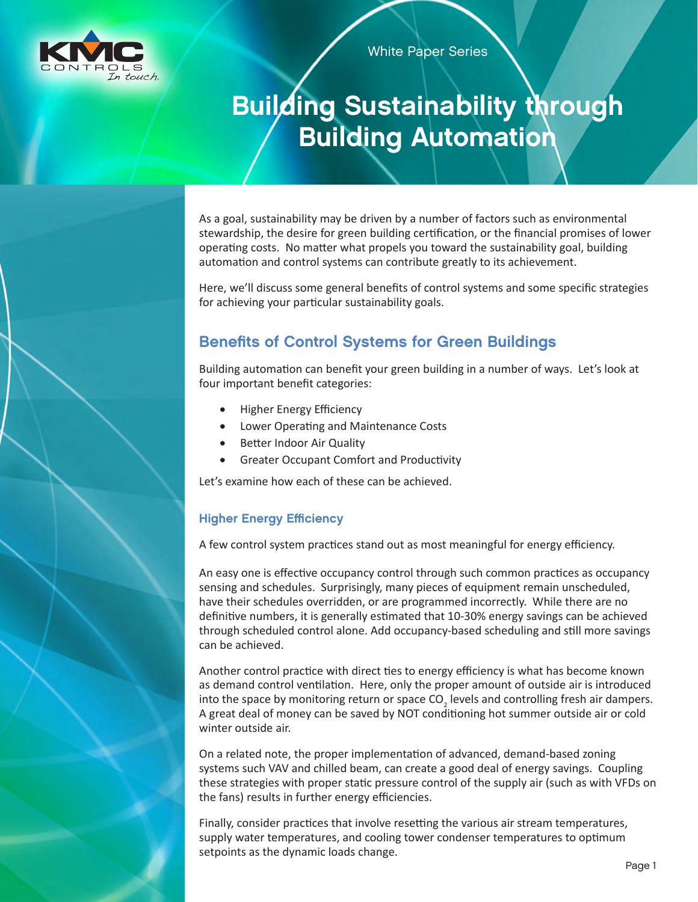

White Paper Series

# Building Sustainability through Building Automation

As a goal, sustainability may be driven by a number of factors such as environmental stewardship, the desire for green building certification, or the financial promises of lower operating costs. No matter what propels you toward the sustainability goal, building automation and control systems can contribute greatly to its achievement.

Here, we'll discuss some general benefits of control systems and some specific strategies for achieving your particular sustainability goals.

## Benefits of Control Systems for Green Buildings

Building automation can benefit your green building in a number of ways. Let's look at four important benefit categories:

- **Higher Energy Efficiency**
- Lower Operating and Maintenance Costs
- **Better Indoor Air Quality**
- **Greater Occupant Comfort and Productivity**

Let's examine how each of these can be achieved.

#### Higher Energy Efficiency

A few control system practices stand out as most meaningful for energy efficiency.

An easy one is effective occupancy control through such common practices as occupancy sensing and schedules. Surprisingly, many pieces of equipment remain unscheduled, have their schedules overridden, or are programmed incorrectly. While there are no definitive numbers, it is generally estimated that 10-30% energy savings can be achieved through scheduled control alone. Add occupancy-based scheduling and still more savings can be achieved.

Another control practice with direct ties to energy efficiency is what has become known as demand control ventilation. Here, only the proper amount of outside air is introduced into the space by monitoring return or space CO<sub>2</sub> levels and controlling fresh air dampers. A great deal of money can be saved by NOT conditioning hot summer outside air or cold winter outside air.

On a related note, the proper implementation of advanced, demand-based zoning systems such VAV and chilled beam, can create a good deal of energy savings. Coupling these strategies with proper static pressure control of the supply air (such as with VFDs on the fans) results in further energy efficiencies.

Finally, consider practices that involve resetting the various air stream temperatures, supply water temperatures, and cooling tower condenser temperatures to optimum setpoints as the dynamic loads change.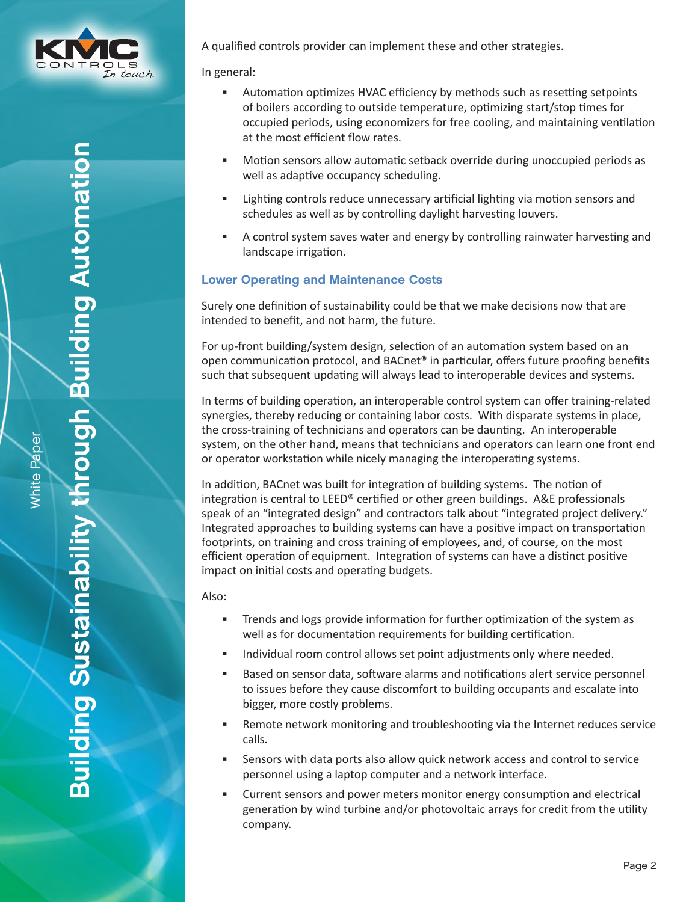

White Paper

White Paper

A qualified controls provider can implement these and other strategies.

In general:

- Automation optimizes HVAC efficiency by methods such as resetting setpoints of boilers according to outside temperature, optimizing start/stop times for occupied periods, using economizers for free cooling, and maintaining ventilation at the most efficient flow rates.
- Motion sensors allow automatic setback override during unoccupied periods as well as adaptive occupancy scheduling.
- Lighting controls reduce unnecessary artificial lighting via motion sensors and schedules as well as by controlling daylight harvesting louvers.
- A control system saves water and energy by controlling rainwater harvesting and landscape irrigation.

#### Lower Operating and Maintenance Costs

Surely one definition of sustainability could be that we make decisions now that are intended to benefit, and not harm, the future.

For up-front building/system design, selection of an automation system based on an open communication protocol, and BACnet® in particular, offers future proofing benefits such that subsequent updating will always lead to interoperable devices and systems.

In terms of building operation, an interoperable control system can offer training-related synergies, thereby reducing or containing labor costs. With disparate systems in place, the cross-training of technicians and operators can be daunting. An interoperable system, on the other hand, means that technicians and operators can learn one front end or operator workstation while nicely managing the interoperating systems.

In addition, BACnet was built for integration of building systems. The notion of integration is central to LEED® certified or other green buildings. A&E professionals speak of an "integrated design" and contractors talk about "integrated project delivery." Integrated approaches to building systems can have a positive impact on transportation footprints, on training and cross training of employees, and, of course, on the most efficient operation of equipment. Integration of systems can have a distinct positive impact on initial costs and operating budgets.

Also:

- Trends and logs provide information for further optimization of the system as well as for documentation requirements for building certification.
- Individual room control allows set point adjustments only where needed.
- Based on sensor data, software alarms and notifications alert service personnel to issues before they cause discomfort to building occupants and escalate into bigger, more costly problems.
- Remote network monitoring and troubleshooting via the Internet reduces service calls.
- Sensors with data ports also allow quick network access and control to service personnel using a laptop computer and a network interface.
- Current sensors and power meters monitor energy consumption and electrical generation by wind turbine and/or photovoltaic arrays for credit from the utility company.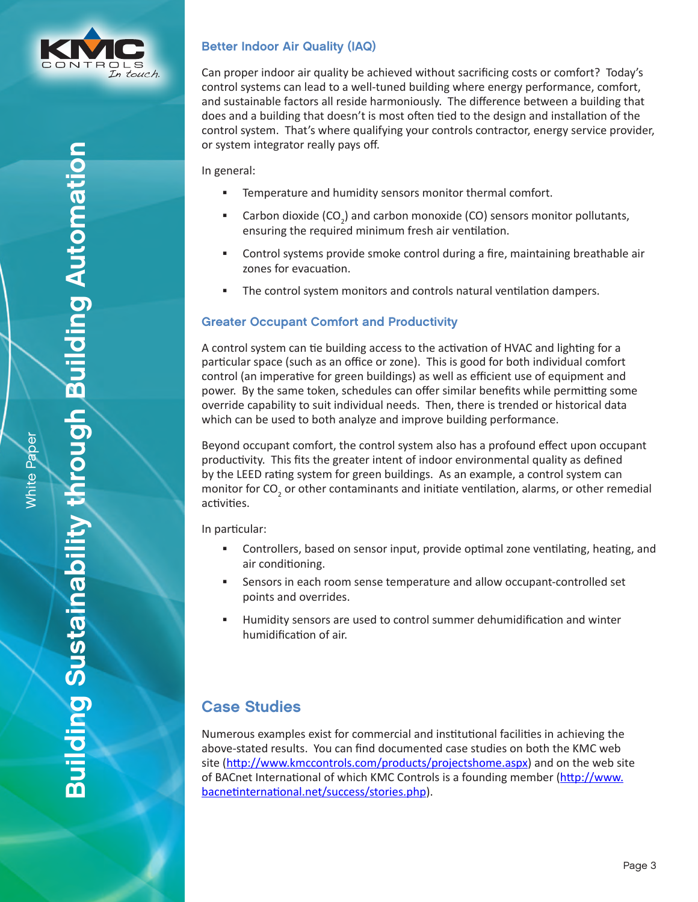

Better Indoor Air Quality (IAQ)

Can proper indoor air quality be achieved without sacrificing costs or comfort? Today's control systems can lead to a well-tuned building where energy performance, comfort, and sustainable factors all reside harmoniously. The difference between a building that does and a building that doesn't is most often tied to the design and installation of the control system. That's where qualifying your controls contractor, energy service provider, or system integrator really pays off.

In general:

- Temperature and humidity sensors monitor thermal comfort.
- **Carbon dioxide (CO<sub>2</sub>) and carbon monoxide (CO) sensors monitor pollutants,** ensuring the required minimum fresh air ventilation.
- Control systems provide smoke control during a fire, maintaining breathable air zones for evacuation.
- The control system monitors and controls natural ventilation dampers.

#### Greater Occupant Comfort and Productivity

A control system can tie building access to the activation of HVAC and lighting for a particular space (such as an office or zone). This is good for both individual comfort control (an imperative for green buildings) as well as efficient use of equipment and power. By the same token, schedules can offer similar benefits while permitting some override capability to suit individual needs. Then, there is trended or historical data which can be used to both analyze and improve building performance.

Beyond occupant comfort, the control system also has a profound effect upon occupant productivity. This fits the greater intent of indoor environmental quality as defined by the LEED rating system for green buildings. As an example, a control system can monitor for CO<sub>2</sub> or other contaminants and initiate ventilation, alarms, or other remedial activities.

In particular:

- Controllers, based on sensor input, provide optimal zone ventilating, heating, and air conditioning.
- Sensors in each room sense temperature and allow occupant-controlled set points and overrides.
- Humidity sensors are used to control summer dehumidification and winter humidification of air.

### Case Studies

Numerous examples exist for commercial and institutional facilities in achieving the above-stated results. You can find documented case studies on both the KMC web site (<http://www.kmccontrols.com/products/projectshome.aspx>) and on the web site of BACnet International of which KMC Controls is a founding member ([http://www.](http://www.bacnetinternational.net/success/stories.php) [bacnetinternational.net/success/stories.php](http://www.bacnetinternational.net/success/stories.php)).

Building Sustainability through Building Automation

**Building Sustainability through Building Automation**